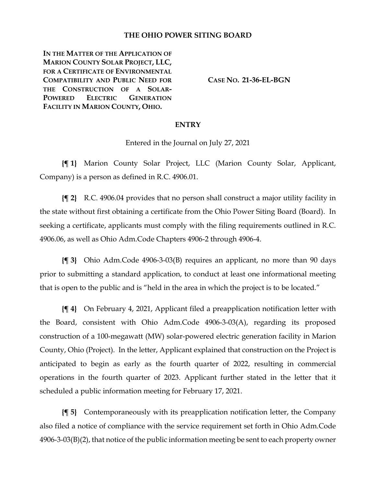#### **THE OHIO POWER SITING BOARD**

**IN THE MATTER OF THE APPLICATION OF MARION COUNTY SOLAR PROJECT, LLC, FOR A CERTIFICATE OF ENVIRONMENTAL COMPATIBILITY AND PUBLIC NEED FOR THE CONSTRUCTION OF A SOLAR-POWERED ELECTRIC GENERATION FACILITY IN MARION COUNTY, OHIO.**

**CASE NO. 21-36-EL-BGN**

#### **ENTRY**

Entered in the Journal on July 27, 2021

**{¶ 1}** Marion County Solar Project, LLC (Marion County Solar, Applicant, Company) is a person as defined in R.C. 4906.01.

**{¶ 2}** R.C. 4906.04 provides that no person shall construct a major utility facility in the state without first obtaining a certificate from the Ohio Power Siting Board (Board). In seeking a certificate, applicants must comply with the filing requirements outlined in R.C. 4906.06, as well as Ohio Adm.Code Chapters 4906-2 through 4906-4.

**{¶ 3}** Ohio Adm.Code 4906-3-03(B) requires an applicant, no more than 90 days prior to submitting a standard application, to conduct at least one informational meeting that is open to the public and is "held in the area in which the project is to be located."

**{¶ 4}** On February 4, 2021, Applicant filed a preapplication notification letter with the Board, consistent with Ohio Adm.Code 4906-3-03(A), regarding its proposed construction of a 100-megawatt (MW) solar-powered electric generation facility in Marion County, Ohio (Project). In the letter, Applicant explained that construction on the Project is anticipated to begin as early as the fourth quarter of 2022, resulting in commercial operations in the fourth quarter of 2023. Applicant further stated in the letter that it scheduled a public information meeting for February 17, 2021.

**{¶ 5}** Contemporaneously with its preapplication notification letter, the Company also filed a notice of compliance with the service requirement set forth in Ohio Adm.Code  $4906-3-03(B)(2)$ , that notice of the public information meeting be sent to each property owner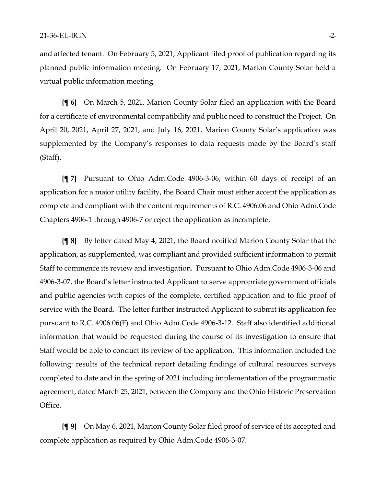and affected tenant. On February 5, 2021, Applicant filed proof of publication regarding its planned public information meeting. On February 17, 2021, Marion County Solar held a virtual public information meeting.

**{¶ 6}** On March 5, 2021, Marion County Solar filed an application with the Board for a certificate of environmental compatibility and public need to construct the Project. On April 20, 2021, April 27, 2021, and July 16, 2021, Marion County Solar's application was supplemented by the Company's responses to data requests made by the Board's staff (Staff).

**{¶ 7}** Pursuant to Ohio Adm.Code 4906-3-06, within 60 days of receipt of an application for a major utility facility, the Board Chair must either accept the application as complete and compliant with the content requirements of R.C. 4906.06 and Ohio Adm.Code Chapters 4906-1 through 4906-7 or reject the application as incomplete.

**{¶ 8}** By letter dated May 4, 2021, the Board notified Marion County Solar that the application, as supplemented, was compliant and provided sufficient information to permit Staff to commence its review and investigation. Pursuant to Ohio Adm.Code 4906-3-06 and 4906-3-07, the Board's letter instructed Applicant to serve appropriate government officials and public agencies with copies of the complete, certified application and to file proof of service with the Board. The letter further instructed Applicant to submit its application fee pursuant to R.C. 4906.06(F) and Ohio Adm.Code 4906-3-12. Staff also identified additional information that would be requested during the course of its investigation to ensure that Staff would be able to conduct its review of the application. This information included the following: results of the technical report detailing findings of cultural resources surveys completed to date and in the spring of 2021 including implementation of the programmatic agreement, dated March 25, 2021, between the Company and the Ohio Historic Preservation Office.

**{¶ 9}** On May 6, 2021, Marion County Solar filed proof of service of its accepted and complete application as required by Ohio Adm.Code 4906-3-07.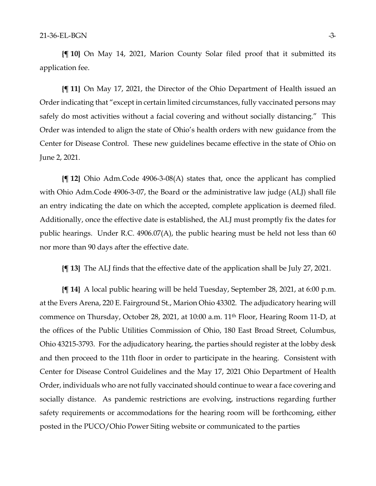**{¶ 10}** On May 14, 2021, Marion County Solar filed proof that it submitted its application fee.

**{¶ 11}** On May 17, 2021, the Director of the Ohio Department of Health issued an Order indicating that "except in certain limited circumstances, fully vaccinated persons may safely do most activities without a facial covering and without socially distancing." This Order was intended to align the state of Ohio's health orders with new guidance from the Center for Disease Control. These new guidelines became effective in the state of Ohio on June 2, 2021.

**{¶ 12}** Ohio Adm.Code 4906-3-08(A) states that, once the applicant has complied with Ohio Adm.Code 4906-3-07, the Board or the administrative law judge (ALJ) shall file an entry indicating the date on which the accepted, complete application is deemed filed. Additionally, once the effective date is established, the ALJ must promptly fix the dates for public hearings. Under R.C. 4906.07(A), the public hearing must be held not less than 60 nor more than 90 days after the effective date.

**{¶ 13}** The ALJ finds that the effective date of the application shall be July 27, 2021.

**{¶ 14}** A local public hearing will be held Tuesday, September 28, 2021, at 6:00 p.m. at the Evers Arena, 220 E. Fairground St., Marion Ohio 43302. The adjudicatory hearing will commence on Thursday, October 28, 2021, at 10:00 a.m. 11<sup>th</sup> Floor, Hearing Room 11-D, at the offices of the Public Utilities Commission of Ohio, 180 East Broad Street, Columbus, Ohio 43215-3793. For the adjudicatory hearing, the parties should register at the lobby desk and then proceed to the 11th floor in order to participate in the hearing. Consistent with Center for Disease Control Guidelines and the May 17, 2021 Ohio Department of Health Order, individuals who are not fully vaccinated should continue to wear a face covering and socially distance. As pandemic restrictions are evolving, instructions regarding further safety requirements or accommodations for the hearing room will be forthcoming, either posted in the PUCO/Ohio Power Siting website or communicated to the parties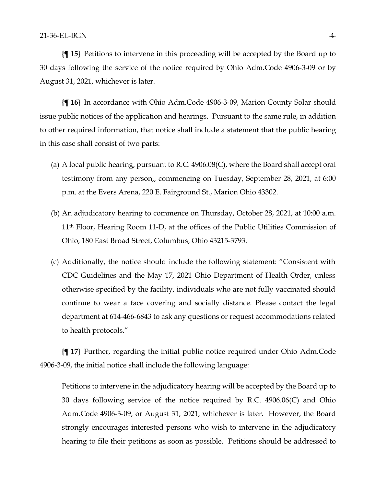**{¶ 15}** Petitions to intervene in this proceeding will be accepted by the Board up to 30 days following the service of the notice required by Ohio Adm.Code 4906-3-09 or by August 31, 2021, whichever is later.

**{¶ 16}** In accordance with Ohio Adm.Code 4906-3-09, Marion County Solar should issue public notices of the application and hearings. Pursuant to the same rule, in addition to other required information, that notice shall include a statement that the public hearing in this case shall consist of two parts:

- (a) A local public hearing, pursuant to R.C. 4906.08(C), where the Board shall accept oral testimony from any person,, commencing on Tuesday, September 28, 2021, at 6:00 p.m. at the Evers Arena, 220 E. Fairground St., Marion Ohio 43302.
- (b) An adjudicatory hearing to commence on Thursday, October 28, 2021, at 10:00 a.m. 11th Floor, Hearing Room 11-D, at the offices of the Public Utilities Commission of Ohio, 180 East Broad Street, Columbus, Ohio 43215-3793.
- (c) Additionally, the notice should include the following statement: "Consistent with CDC Guidelines and the May 17, 2021 Ohio Department of Health Order, unless otherwise specified by the facility, individuals who are not fully vaccinated should continue to wear a face covering and socially distance. Please contact the legal department at 614-466-6843 to ask any questions or request accommodations related to health protocols."

**{¶ 17}** Further, regarding the initial public notice required under Ohio Adm.Code 4906-3-09, the initial notice shall include the following language:

Petitions to intervene in the adjudicatory hearing will be accepted by the Board up to 30 days following service of the notice required by R.C. 4906.06(C) and Ohio Adm.Code 4906-3-09, or August 31, 2021, whichever is later. However, the Board strongly encourages interested persons who wish to intervene in the adjudicatory hearing to file their petitions as soon as possible. Petitions should be addressed to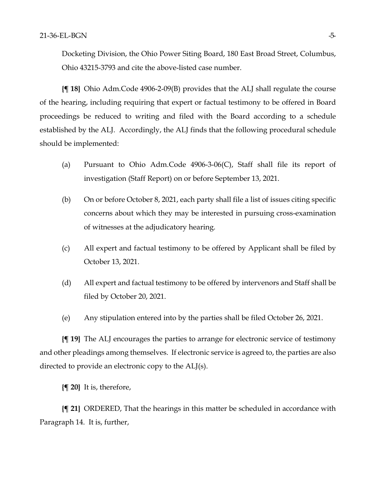Docketing Division, the Ohio Power Siting Board, 180 East Broad Street, Columbus, Ohio 43215-3793 and cite the above-listed case number.

**{¶ 18}** Ohio Adm.Code 4906-2-09(B) provides that the ALJ shall regulate the course of the hearing, including requiring that expert or factual testimony to be offered in Board proceedings be reduced to writing and filed with the Board according to a schedule established by the ALJ. Accordingly, the ALJ finds that the following procedural schedule should be implemented:

- (a) Pursuant to Ohio Adm.Code 4906-3-06(C), Staff shall file its report of investigation (Staff Report) on or before September 13, 2021.
- (b) On or before October 8, 2021, each party shall file a list of issues citing specific concerns about which they may be interested in pursuing cross-examination of witnesses at the adjudicatory hearing.
- (c) All expert and factual testimony to be offered by Applicant shall be filed by October 13, 2021.
- (d) All expert and factual testimony to be offered by intervenors and Staff shall be filed by October 20, 2021.
- (e) Any stipulation entered into by the parties shall be filed October 26, 2021.

**{¶ 19}** The ALJ encourages the parties to arrange for electronic service of testimony and other pleadings among themselves. If electronic service is agreed to, the parties are also directed to provide an electronic copy to the ALJ(s).

**{¶ 20}** It is, therefore,

**{¶ 21}** ORDERED, That the hearings in this matter be scheduled in accordance with Paragraph 14. It is, further,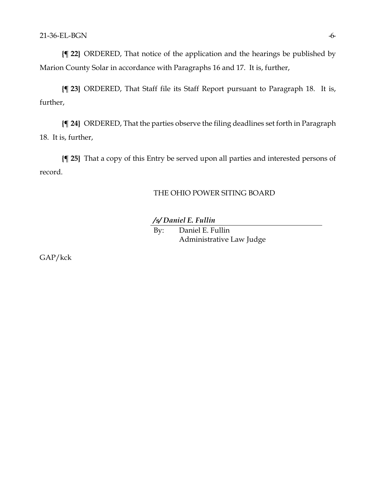**{¶ 22}** ORDERED, That notice of the application and the hearings be published by Marion County Solar in accordance with Paragraphs 16 and 17. It is, further,

**{¶ 23}** ORDERED, That Staff file its Staff Report pursuant to Paragraph 18. It is, further,

**{¶ 24}** ORDERED, That the parties observe the filing deadlines set forth in Paragraph 18. It is, further,

**{¶ 25}** That a copy of this Entry be served upon all parties and interested persons of record.

### THE OHIO POWER SITING BOARD

#### */s/ Daniel E. Fullin*

By: Daniel E. Fullin Administrative Law Judge

GAP/kck